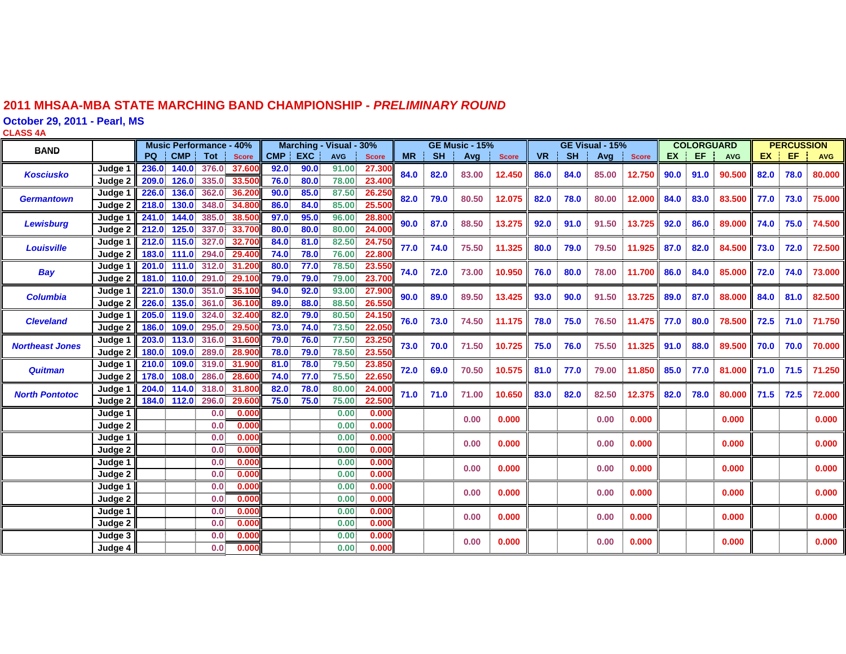#### **2011 MHSAA-MBA STATE MARCHING BAND CHAMPIONSHIP -** *PRELIMINARY ROUND*

**October 29, 2011 - Pearl, MS**

**CLASS 4 A**

| <b>BAND</b>            |                    | <b>Music Performance - 40%</b> |            |                         | Marching - Visual - 30% |      |            |              | <b>GE Music - 15%</b> |           |           | GE Visual - 15% |              |           |           | <b>COLORGUARD</b> |                  |           | <b>PERCUSSION</b> |            |      |      |            |
|------------------------|--------------------|--------------------------------|------------|-------------------------|-------------------------|------|------------|--------------|-----------------------|-----------|-----------|-----------------|--------------|-----------|-----------|-------------------|------------------|-----------|-------------------|------------|------|------|------------|
|                        |                    | <b>PQ</b>                      | <b>CMP</b> | Tot                     | <b>Score</b>            | CMP  | <b>EXC</b> | <b>AVG</b>   | <b>Score</b>          | <b>MR</b> | <b>SH</b> | Avg             | <b>Score</b> | <b>VR</b> | <b>SH</b> | Avg               | <b>Score</b>     | <b>EX</b> | EF                | <b>AVG</b> | EX.  | EF   | <b>AVG</b> |
| <b>Kosciusko</b>       | Judae              | 236.0                          | 140.0      | 376.0                   | 37.60                   | 92.0 | 90.0       | 91.00        | 27.30                 | 84.0      | 82.0      | 83.00           | 12.450       | 86.0      | 84.0      | 85.00             | 12.750           | 90.0      | 91.0              |            | 82.0 | 78.0 | 80.000     |
|                        | Judge 2            | 209.0                          | 126.0      | 335.0                   | 33.500                  | 76.0 | 80.0       | 78.00        | 23.40                 |           |           |                 |              |           |           |                   |                  |           |                   | 90.500     |      |      |            |
| <b>Germantown</b>      | Judge 1            | 226.0                          | 136.0      | 362.0                   | 36.200                  | 90.0 | 85.0       | 87.50        | 26.25                 | 82.0      | 79.0      | 80.50           | 12.075       | 82.0      | 78.0      | 80.00             | 12.000           | 84.0      | 83.0              | 83.500     | 77.0 | 73.0 | 75.000     |
|                        | Judge 2            | 218.0                          | 130.0      | 348.0                   | 34,800                  | 86.0 | 84.0       | 85.00        | 25.50                 |           |           |                 |              |           |           |                   |                  |           |                   |            |      |      |            |
| <b>Lewisburg</b>       | Judge              | 241.0                          | 144.0      | 385.0                   | 38.500                  | 97.0 | 95.0       | 96.00        | 28.80                 | 90.0      | 87.0      | 88.50           | 13.275       | 92.0      | 91.0      | 91.50             | 13.725           | 92.0      | 86.0              | 89,000     | 74.0 | 75.0 | 74.500     |
|                        | Judge 2            | 212.0                          | 125.0      | 337.0                   | 33,700                  | 80.0 | 80.0       | 80.00        | 24,000                |           |           |                 |              |           |           |                   |                  |           |                   |            |      |      |            |
| <b>Louisville</b>      | Judge 1            | 212.0                          | 115.0      | 327.0                   | 32.700                  | 84.0 | 81.0       | 82.50        | 24.750                | 77.0      | 74.0      | 75.50           | 11.325       | 80.0      | 79.0      | 79.50             | 11.925           | 87.0      | 82.0              | 84.500     | 73.0 | 72.0 | 72.500     |
|                        | Judge 2            | 183.0                          | 111.0      |                         | 294.0 29.400            | 74.0 | 78.0       | 76.00        | 22.80                 |           |           |                 |              |           |           |                   |                  |           |                   |            |      |      |            |
| <b>Bay</b>             | Judge 1            | 201.0                          | 111.0      |                         | 312.0 31.200            | 80.0 | 77.0       | 78.50        | 23.55                 | 74.0      | 72.0      | 73.00           | 10.950       | 76.0      | 80.0      | 78.00             | 11.700           | 86.0      | 84.0              | 85.000     | 72.0 | 74.0 | 73.000     |
|                        | Judge 2            | 181.0                          | 110.0      | 291.0                   | 29.100                  | 79.0 | 79.0       | 79.00        | 23.700                |           |           |                 |              |           |           |                   |                  |           |                   |            |      |      |            |
| <b>Columbia</b>        | Judge <sup>-</sup> | 221.0                          | 130.0      |                         | 351.0 35.100            | 94.0 | 92.0       | 93.00        | 27.900                | 90.0      | 89.0      | 89.50           | 13.425       | 93.0      | 90.0      | 91.50             | 13.725           | 89.0      | 87.0              | 88.000     | 84.0 | 81.0 | 82.500     |
|                        | Judge 2            | 226.0                          | 135.0      | 361.0                   | 36.100                  | 89.0 | 88.0       | 88.50        | 26.55                 |           |           |                 |              |           |           |                   |                  |           |                   |            |      |      |            |
| <b>Cleveland</b>       | Judge 1            | 205.0                          | 119.0      | 324.0                   | 32,400                  | 82.0 | 79.0       | 80.50        | 24.15                 | 76.0      | 73.0      | 74.50           | 11.175       | 78.0      | 75.0      | 76.50             | 11.475 77.0      |           | 80.0              | 78.500     | 72.5 | 71.0 | 71.750     |
|                        | Judge 2            | 186.0                          | 109.0      | 295.0                   | 29.500                  | 73.0 | 74.0       | 73.50        | 22.05                 |           |           |                 |              |           |           |                   |                  |           |                   |            |      |      |            |
| <b>Northeast Jones</b> | Judge <sup>-</sup> | 203.0                          | 113.0      | 316.0                   | 31,600                  | 79.0 | 76.0       | 77.50        | 23.25                 | 73.0      | 70.0      | 71.50           | 10.725       | 75.0      | 76.0      | 75.50             | 11.325           | 91.0      | 88.0              | 89.500     | 70.0 | 70.0 | 70,000     |
|                        | Judge 2            | 180.0                          | 109.0      | 289.0                   | 28.900                  | 78.0 | 79.0       | 78.50        | 23.55                 |           |           |                 |              |           |           |                   |                  |           |                   |            |      |      |            |
| <b>Quitman</b>         | Judge 1            | 210.0                          | 109.0      |                         | 319.0 31.900            | 81.0 | 78.0       | 79.50        | 23.85                 | 72.0      | 69.0      | 70.50           | 10.575       | 81.0      | 77.0      | 79.00             | 11.850 <b>II</b> | 85.0      | 77.0              | 81.000     | 71.0 | 71.5 | 71.250     |
|                        | Judge 2            | 178.0                          | 108.0      | 286.0                   | 28.600                  | 74.0 | 77.0       | 75.50        | 22.65                 |           |           |                 |              |           |           |                   |                  |           |                   |            |      |      |            |
| <b>North Pontotoc</b>  | Judge 1            | 204.0                          | 114.0      | 318.0                   | 31.800                  | 82.0 | 78.0       | 80.00        | 24.00                 | 71.0      | 71.0      | 71.00           | 10.650       | 83.0      | 82.0      | 82.50             | 12.375           | 82.0      | 78.0              | 80.000     | 71.5 | 72.5 | 72.000     |
|                        | Judge 2            | 184.0                          | 112.0      | 296.0                   | 29.60                   | 75.0 | 75.0       | 75.00        | 22.50                 |           |           |                 |              |           |           |                   |                  |           |                   |            |      |      |            |
|                        | Judge 1            |                                |            | 0.0                     | 0.000                   |      |            | 0.00         | 0.000                 |           |           | 0.00            | 0.000        |           |           | 0.00              | 0.000            |           |                   | 0.000      |      |      | 0.000      |
|                        | Judge 2            |                                |            | 0.0                     | 0.000                   |      |            | 0.00         | 0.000                 |           |           |                 |              |           |           |                   |                  |           |                   |            |      |      |            |
|                        | Judge 1            |                                |            | 0.0 <sub>1</sub>        | 0.000<br>0.000          |      |            | 0.00         | 0.000<br>0.000        |           |           | 0.00            | 0.000        |           |           | 0.00              | 0.000            |           |                   | 0.000      |      |      | 0.000      |
|                        | Judge 2<br>Judge 1 |                                |            | 0.0<br>0.0 <sub>1</sub> | 0.000                   |      |            | 0.00<br>0.00 | 0.000                 |           |           |                 |              |           |           |                   |                  |           |                   |            |      |      |            |
|                        | Judge 2            |                                |            | 0.0                     | 0.000                   |      |            | 0.00         | 0.000                 |           |           | 0.00            | 0.000        |           |           | 0.00              | 0.000            |           |                   | 0.000      |      |      | 0.000      |
|                        | Judge 1            |                                |            | 0.0 <sub>1</sub>        | 0.000                   |      |            | 0.00         | 0.000                 |           |           |                 |              |           |           |                   |                  |           |                   |            |      |      |            |
|                        | Judge 2            |                                |            | 0.0                     | 0.000                   |      |            | 0.00         | 0.000                 |           |           | 0.00            | 0.000        |           |           | 0.00              | 0.000            |           |                   | 0.000      |      |      | 0.000      |
|                        | Judge 1            |                                |            | 0.0                     | 0.000                   |      |            | 0.00         | 0.000                 |           |           |                 |              |           |           |                   |                  |           |                   |            |      |      |            |
|                        | Judge 2            |                                |            | 0.0                     | 0.000                   |      |            | 0.00         | 0.000                 |           |           | 0.00            | 0.000        |           |           | 0.00              | 0.000            |           |                   | 0.000      |      |      | 0.000      |
|                        | Judge 3            |                                |            | 0.0 <sub>1</sub>        | 0.000                   |      |            | 0.00         | 0.000                 |           |           |                 |              |           |           |                   |                  |           |                   |            |      |      |            |
|                        | Judge 4            |                                |            | 0.0                     | 0.000                   |      |            | 0.00         | 0.000                 |           |           | 0.00            | 0.000        |           |           | 0.00              | 0.000            |           |                   | 0.000      |      |      | 0.000      |
|                        |                    |                                |            |                         |                         |      |            |              |                       |           |           |                 |              |           |           |                   |                  |           |                   |            |      |      |            |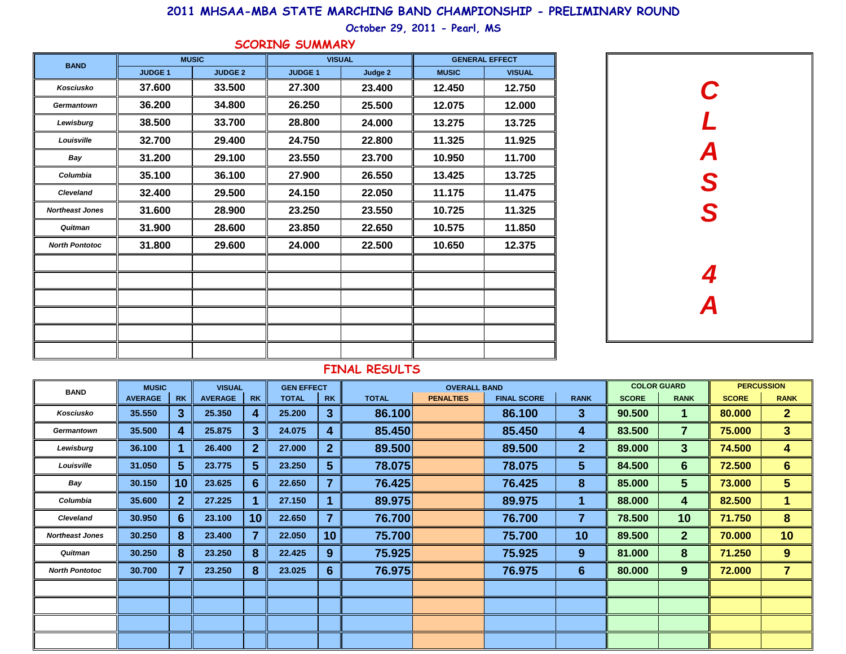## **2011 MHSAA-MBA STATE MARCHING BAND CHAMPIONSHIP - PRELIMINARY ROUND**

## **October 29, 2011 - Pearl, MS**

|  |  |  |  | SCORING SUMMARY |  |  |  |  |
|--|--|--|--|-----------------|--|--|--|--|
|--|--|--|--|-----------------|--|--|--|--|

| <b>BAND</b>            |               | <b>MUSIC</b>   | <b>VISUAL</b> |         |              | <b>GENERAL EFFECT</b> |  |
|------------------------|---------------|----------------|---------------|---------|--------------|-----------------------|--|
|                        | <b>JUDGE1</b> | <b>JUDGE 2</b> | <b>JUDGE1</b> | Judge 2 | <b>MUSIC</b> | <b>VISUAL</b>         |  |
| Kosciusko              | 37,600        | 33.500         | 27,300        | 23.400  | 12.450       | 12.750                |  |
| <b>Germantown</b>      | 36.200        | 34.800         | 26.250        | 25.500  | 12.075       | 12.000                |  |
| Lewisburg              | 38.500        | 33.700         | 28.800        | 24.000  | 13.275       | 13.725                |  |
| Louisville             | 32.700        | 29.400         | 24.750        | 22.800  | 11.325       | 11.925                |  |
| Bay                    | 31.200        | 29.100         | 23.550        | 23.700  | 10.950       | 11.700                |  |
| Columbia               | 35.100        | 36.100         | 27.900        | 26.550  | 13.425       | 13.725                |  |
| <b>Cleveland</b>       | 32,400        | 29.500         | 24.150        | 22.050  | 11.175       | 11.475                |  |
| <b>Northeast Jones</b> | 31.600        | 28.900         | 23.250        | 23.550  | 10.725       | 11.325                |  |
| Quitman                | 31.900        | 28.600         | 23.850        | 22.650  | 10.575       | 11.850                |  |
| <b>North Pontotoc</b>  | 31.800        | 29.600         | 24.000        | 22,500  | 10.650       | 12.375                |  |
|                        |               |                |               |         |              |                       |  |
|                        |               |                |               |         |              |                       |  |
|                        |               |                |               |         |              |                       |  |
|                        |               |                |               |         |              |                       |  |
|                        |               |                |               |         |              |                       |  |
|                        |               |                |               |         |              |                       |  |



#### **FINAL RESULTS**

| <b>BAND</b>            | <b>MUSIC</b>   |                | <b>VISUAL</b>  |                | <b>GEN EFFECT</b> |                         |              |                  | <b>COLOR GUARD</b> | <b>PERCUSSION</b> |              |                |              |                |
|------------------------|----------------|----------------|----------------|----------------|-------------------|-------------------------|--------------|------------------|--------------------|-------------------|--------------|----------------|--------------|----------------|
|                        | <b>AVERAGE</b> | <b>RK</b>      | <b>AVERAGE</b> | <b>RK</b>      | <b>TOTAL</b>      | <b>RK</b>               | <b>TOTAL</b> | <b>PENALTIES</b> | <b>FINAL SCORE</b> | <b>RANK</b>       | <b>SCORE</b> | <b>RANK</b>    | <b>SCORE</b> | <b>RANK</b>    |
| Kosciusko              | 35.550         | 3 <sup>5</sup> | 25.350         | 4              | 25.200            | 3                       | 86.100       |                  | 86.100             | 3                 | 90.500       | 1.             | 80.000       | $\mathbf{2}$   |
| <b>Germantown</b>      | 35.500         | 4              | 25.875         | $\mathbf{3}$   | 24.075            | 4                       | 85.450       |                  | 85.450             | 4                 | 83.500       | $\overline{7}$ | 75.000       | 3 <sup>1</sup> |
| Lewisburg              | 36.100         |                | 26.400         | $\overline{2}$ | 27.000            | $\mathbf{2}$            | 89.500       |                  | 89.500             | 2 <sub>2</sub>    | 89.000       | 3              | 74.500       | 4              |
| Louisville             | 31.050         | 5 <sup>5</sup> | 23.775         | 5              | 23.250            | 5 <sup>5</sup>          | 78.075       |                  | 78.075             | 5 <sub>5</sub>    | 84.500       | $6\phantom{1}$ | 72.500       | $6\phantom{a}$ |
| Bay                    | 30.150         | 10             | 23.625         | 6              | 22.650            | $\overline{\mathbf{z}}$ | 76.425       |                  | 76.425             | 8                 | 85.000       | 5              | 73.000       | 5 <sup>5</sup> |
| Columbia               | 35.600         | 2 <sup>1</sup> | 27.225         |                | 27.150            |                         | 89.975       |                  | 89.975             |                   | 88.000       | 4              | 82.500       | $\blacksquare$ |
| <b>Cleveland</b>       | 30.950         | 6              | 23.100         | 10             | 22.650            | $\overline{7}$          | 76.700       |                  | 76.700             | 7                 | 78.500       | 10             | 71.750       | 8              |
| <b>Northeast Jones</b> | 30.250         | 8              | 23.400         | $\overline{7}$ | 22.050            | 10                      | 75.700       |                  | 75.700             | 10                | 89.500       | 2 <sup>1</sup> | 70.000       | 10             |
| Quitman                | 30.250         | 8              | 23.250         | 8              | 22.425            | 9                       | 75.925       |                  | 75.925             | 9                 | 81.000       | 8              | 71.250       | 9              |
| <b>North Pontotoc</b>  | 30.700         | $\overline{7}$ | 23.250         | 8              | 23.025            | 6                       | 76.975       |                  | 76.975             | 6                 | 80.000       | 9              | 72.000       | $\overline{7}$ |
|                        |                |                |                |                |                   |                         |              |                  |                    |                   |              |                |              |                |
|                        |                |                |                |                |                   |                         |              |                  |                    |                   |              |                |              |                |
|                        |                |                |                |                |                   |                         |              |                  |                    |                   |              |                |              |                |
|                        |                |                |                |                |                   |                         |              |                  |                    |                   |              |                |              |                |